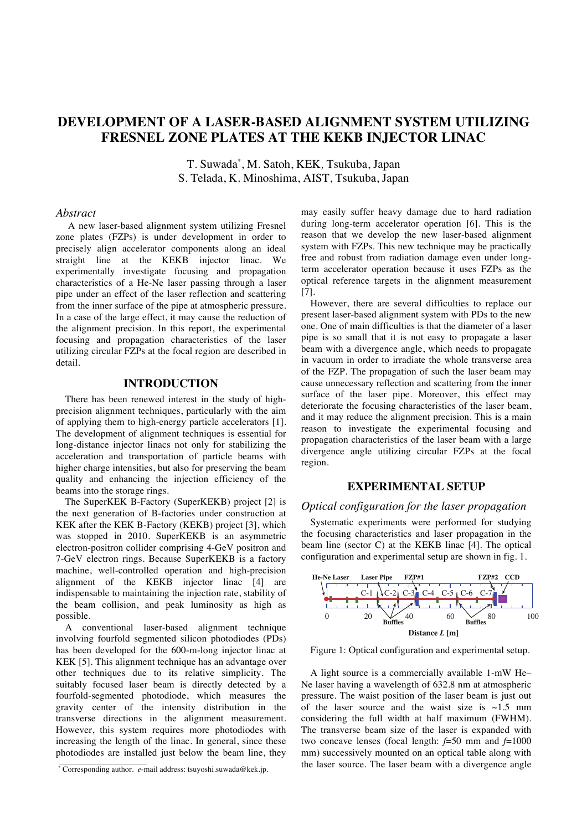# **DEVELOPMENT OF A LASER-BASED ALIGNMENT SYSTEM UTILIZING FRESNEL ZONE PLATES AT THE KEKB INJECTOR LINAC**

T. Suwada\* , M. Satoh, KEK*,* Tsukuba, Japan S. Telada, K. Minoshima, AIST, Tsukuba, Japan

### *Abstract*

A new laser-based alignment system utilizing Fresnel zone plates (FZPs) is under development in order to precisely align accelerator components along an ideal straight line at the KEKB injector linac. We experimentally investigate focusing and propagation characteristics of a He-Ne laser passing through a laser pipe under an effect of the laser reflection and scattering from the inner surface of the pipe at atmospheric pressure. In a case of the large effect, it may cause the reduction of the alignment precision. In this report, the experimental focusing and propagation characteristics of the laser utilizing circular FZPs at the focal region are described in detail.

# **INTRODUCTION**

There has been renewed interest in the study of highprecision alignment techniques, particularly with the aim of applying them to high-energy particle accelerators [1]. The development of alignment techniques is essential for long-distance injector linacs not only for stabilizing the acceleration and transportation of particle beams with higher charge intensities, but also for preserving the beam quality and enhancing the injection efficiency of the beams into the storage rings.

The SuperKEK B-Factory (SuperKEKB) project [2] is the next generation of B-factories under construction at KEK after the KEK B-Factory (KEKB) project [3], which was stopped in 2010. SuperKEKB is an asymmetric electron-positron collider comprising 4-GeV positron and 7-GeV electron rings. Because SuperKEKB is a factory machine, well-controlled operation and high-precision alignment of the KEKB injector linac [4] are indispensable to maintaining the injection rate, stability of the beam collision, and peak luminosity as high as possible.

A conventional laser-based alignment technique involving fourfold segmented silicon photodiodes (PDs) has been developed for the 600-m-long injector linac at KEK [5]. This alignment technique has an advantage over other techniques due to its relative simplicity. The suitably focused laser beam is directly detected by a fourfold-segmented photodiode, which measures the gravity center of the intensity distribution in the transverse directions in the alignment measurement. However, this system requires more photodiodes with increasing the length of the linac. In general, since these photodiodes are installed just below the beam line, they

\_\_\_\_\_\_\_\_\_\_\_\_\_\_\_\_\_\_\_\_\_\_\_\_\_\_\_\_\_\_\_\_\_\_\_\_\_\_\_\_\_\_\_\_

may easily suffer heavy damage due to hard radiation during long-term accelerator operation [6]. This is the reason that we develop the new laser-based alignment system with FZPs. This new technique may be practically free and robust from radiation damage even under longterm accelerator operation because it uses FZPs as the optical reference targets in the alignment measurement [7].

However, there are several difficulties to replace our present laser-based alignment system with PDs to the new one. One of main difficulties is that the diameter of a laser pipe is so small that it is not easy to propagate a laser beam with a divergence angle, which needs to propagate in vacuum in order to irradiate the whole transverse area of the FZP. The propagation of such the laser beam may cause unnecessary reflection and scattering from the inner surface of the laser pipe. Moreover, this effect may deteriorate the focusing characteristics of the laser beam, and it may reduce the alignment precision. This is a main reason to investigate the experimental focusing and propagation characteristics of the laser beam with a large divergence angle utilizing circular FZPs at the focal region.

# **EXPERIMENTAL SETUP**

## *Optical configuration for the laser propagation*

Systematic experiments were performed for studying the focusing characteristics and laser propagation in the beam line (sector C) at the KEKB linac [4]. The optical configuration and experimental setup are shown in fig. 1.



Figure 1: Optical configuration and experimental setup.

A light source is a commercially available 1-mW He– Ne laser having a wavelength of 632.8 nm at atmospheric pressure. The waist position of the laser beam is just out of the laser source and the waist size is  $\sim 1.5$  mm considering the full width at half maximum (FWHM). The transverse beam size of the laser is expanded with two concave lenses (focal length: *f*=50 mm and *f*=1000 mm) successively mounted on an optical table along with the laser source. The laser beam with a divergence angle

<sup>\*</sup> Corresponding author. *e*-mail address: tsuyoshi.suwada@kek.jp.